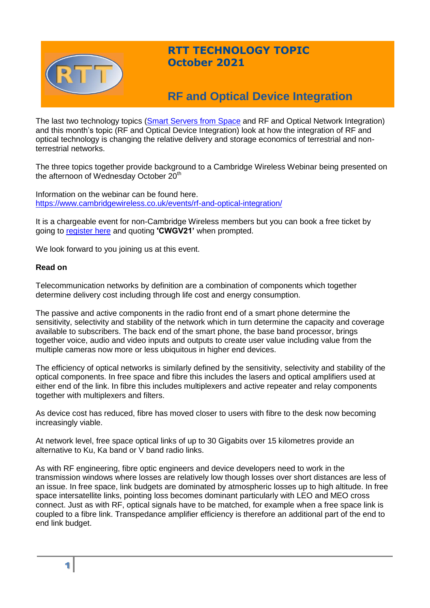

## **RTT TECHNOLOGY TOPIC October 2021**

# **RF and Optical Device Integration**

The last two technology topics [\(Smart Servers from Space](http://www.rttonline.com/tt/TT2021_008.pdf) and RF and Optical Network Integration) and this month's topic (RF and Optical Device Integration) look at how the integration of RF and optical technology is changing the relative delivery and storage economics of terrestrial and nonterrestrial networks.

The three topics together provide background to a Cambridge Wireless Webinar being presented on the afternoon of Wednesday October 20<sup>th</sup>

Information on the webinar can be found here. <https://www.cambridgewireless.co.uk/events/rf-and-optical-integration/>

It is a chargeable event for non-Cambridge Wireless members but you can book a free ticket by going to [register here](https://www.cambridgewireless.co.uk/events/rf-and-optical-integration) and quoting **'CWGV21'** when prompted.

We look forward to you joining us at this event.

#### **Read on**

Telecommunication networks by definition are a combination of components which together determine delivery cost including through life cost and energy consumption.

The passive and active components in the radio front end of a smart phone determine the sensitivity, selectivity and stability of the network which in turn determine the capacity and coverage available to subscribers. The back end of the smart phone, the base band processor, brings together voice, audio and video inputs and outputs to create user value including value from the multiple cameras now more or less ubiquitous in higher end devices.

The efficiency of optical networks is similarly defined by the sensitivity, selectivity and stability of the optical components. In free space and fibre this includes the lasers and optical amplifiers used at either end of the link. In fibre this includes multiplexers and active repeater and relay components together with multiplexers and filters.

As device cost has reduced, fibre has moved closer to users with fibre to the desk now becoming increasingly viable.

At network level, free space optical links of up to 30 Gigabits over 15 kilometres provide an alternative to Ku, Ka band or V band radio links.

As with RF engineering, fibre optic engineers and device developers need to work in the transmission windows where losses are relatively low though losses over short distances are less of an issue. In free space, link budgets are dominated by atmospheric losses up to high altitude. In free space intersatellite links, pointing loss becomes dominant particularly with LEO and MEO cross connect. Just as with RF, optical signals have to be matched, for example when a free space link is coupled to a fibre link. Transpedance amplifier efficiency is therefore an additional part of the end to end link budget.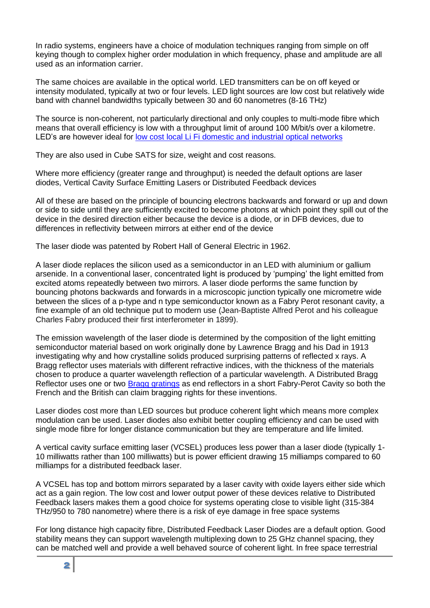In radio systems, engineers have a choice of modulation techniques ranging from simple on off keying though to complex higher order modulation in which frequency, phase and amplitude are all used as an information carrier.

The same choices are available in the optical world. LED transmitters can be on off keyed or intensity modulated, typically at two or four levels. LED light sources are low cost but relatively wide band with channel bandwidths typically between 30 and 60 nanometres (8-16 THz)

The source is non-coherent, not particularly directional and only couples to multi-mode fibre which means that overall efficiency is low with a throughput limit of around 100 M/bit/s over a kilometre. LED's are however ideal for [low cost local Li Fi domestic and](https://lifi.co/) industrial optical networks

They are also used in Cube SATS for size, weight and cost reasons.

Where more efficiency (greater range and throughput) is needed the default options are laser diodes, Vertical Cavity Surface Emitting Lasers or Distributed Feedback devices

All of these are based on the principle of bouncing electrons backwards and forward or up and down or side to side until they are sufficiently excited to become photons at which point they spill out of the device in the desired direction either because the device is a diode, or in DFB devices, due to differences in reflectivity between mirrors at either end of the device

The laser diode was patented by Robert Hall of General Electric in 1962.

A laser diode replaces the silicon used as a semiconductor in an LED with aluminium or gallium arsenide. In a conventional laser, concentrated light is produced by 'pumping' the light emitted from excited atoms repeatedly between two mirrors. A laser diode performs the same function by bouncing photons backwards and forwards in a microscopic junction typically one micrometre wide between the slices of a p-type and n type semiconductor known as a Fabry Perot resonant cavity, a fine example of an old technique put to modern use (Jean-Baptiste Alfred Perot and his colleague Charles Fabry produced their first interferometer in 1899).

The emission wavelength of the laser diode is determined by the composition of the light emitting semiconductor material based on work originally done by Lawrence Bragg and his Dad in 1913 investigating why and how crystalline solids produced surprising patterns of reflected x rays. A Bragg reflector uses materials with different refractive indices, with the thickness of the materials chosen to produce a quarter wavelength reflection of a particular wavelength. A Distributed Bragg Reflector uses one or two [Bragg gratings](https://www.infobloom.com/what-is-bragg-grating.htm) as end reflectors in a short Fabry-Perot Cavity so both the French and the British can claim bragging rights for these inventions.

Laser diodes cost more than LED sources but produce coherent light which means more complex modulation can be used. Laser diodes also exhibit better coupling efficiency and can be used with single mode fibre for longer distance communication but they are temperature and life limited.

A vertical cavity surface emitting laser (VCSEL) produces less power than a laser diode (typically 1- 10 milliwatts rather than 100 milliwatts) but is power efficient drawing 15 milliamps compared to 60 milliamps for a distributed feedback laser.

A VCSEL has top and bottom mirrors separated by a laser cavity with oxide layers either side which act as a gain region. The low cost and lower output power of these devices relative to Distributed Feedback lasers makes them a good choice for systems operating close to visible light (315-384 THz/950 to 780 nanometre) where there is a risk of eye damage in free space systems

For long distance high capacity fibre, Distributed Feedback Laser Diodes are a default option. Good stability means they can support wavelength multiplexing down to 25 GHz channel spacing, they can be matched well and provide a well behaved source of coherent light. In free space terrestrial